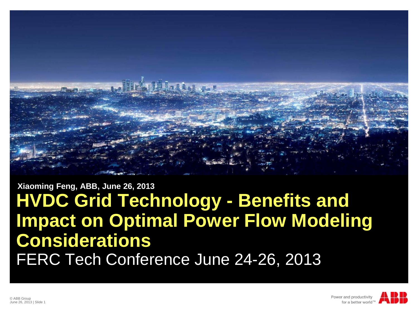

#### **HVDC Grid Technology - Benefits and Impact on Optimal Power Flow Modeling Considerations** FERC Tech Conference June 24-26, 2013 **Xiaoming Feng, ABB, June 26, 2013**

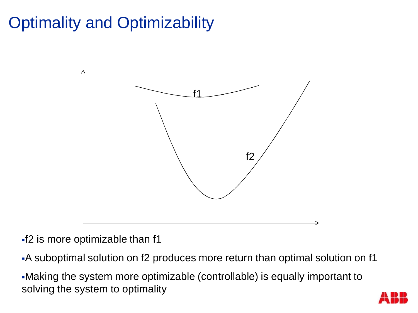## Optimality and Optimizability



§f2 is more optimizable than f1

§A suboptimal solution on f2 produces more return than optimal solution on f1

§Making the system more optimizable (controllable) is equally important to solving the system to optimality

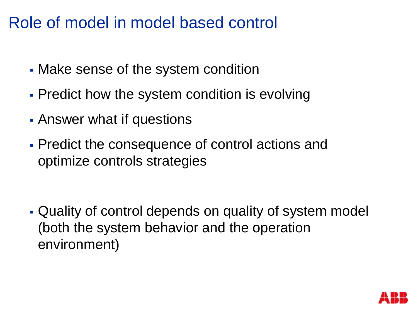#### Role of model in model based control

- Make sense of the system condition
- § Predict how the system condition is evolving
- Answer what if questions
- Predict the consequence of control actions and optimize controls strategies

§ Quality of control depends on quality of system model (both the system behavior and the operation environment)

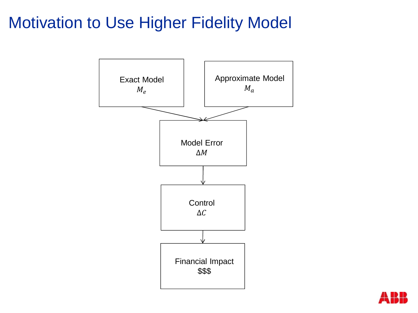#### Motivation to Use Higher Fidelity Model



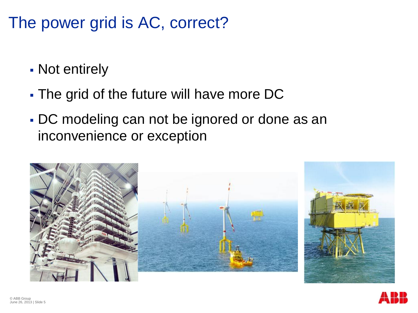#### The power grid is AC, correct?

- § Not entirely
- The grid of the future will have more DC
- § DC modeling can not be ignored or done as an inconvenience or exception



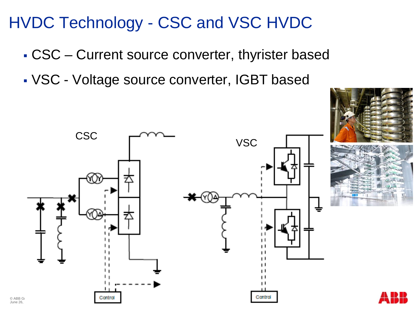#### HVDC Technology - CSC and VSC HVDC

- § CSC Current source converter, thyrister based
- § VSC Voltage source converter, IGBT based



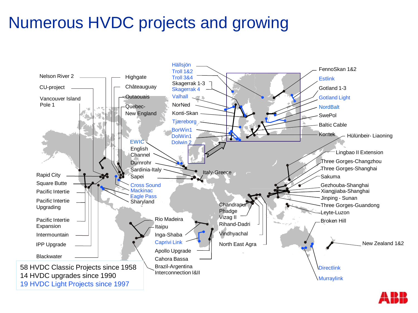### Numerous HVDC projects and growing



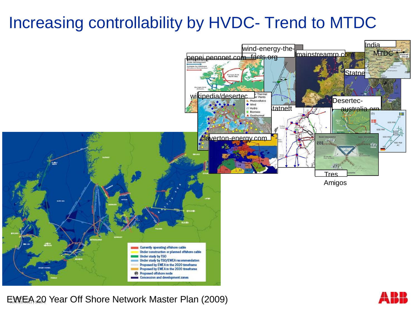### Increasing controllability by HVDC- Trend to MTDC



EWEA 20 Year Off Shore Network Master Plan (2009)

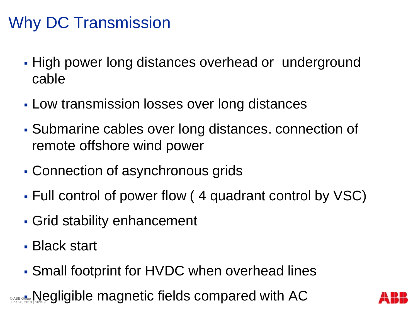## Why DC Transmission

- High power long distances overhead or underground cable
- Low transmission losses over long distances
- § Submarine cables over long distances. connection of remote offshore wind power
- Connection of asynchronous grids
- § Full control of power flow ( 4 quadrant control by VSC)
- Grid stability enhancement
- § Black start
- § Small footprint for HVDC when overhead lines

**O ABB G<mark>r</mark>on, Negligible magnetic fields compared with AC** 

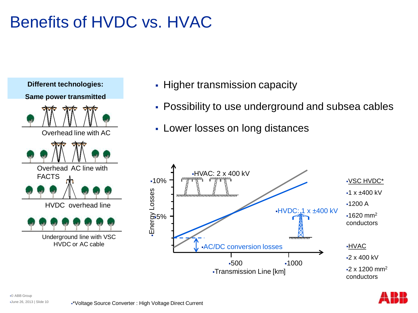## Benefits of HVDC vs. HVAC



- Higher transmission capacity
- § Possibility to use underground and subsea cables
- Lower losses on long distances



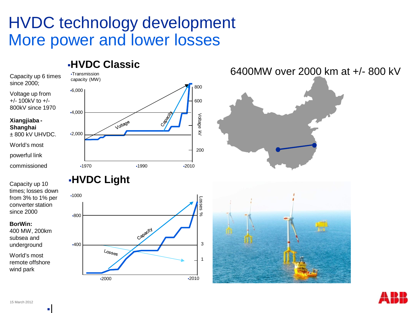#### HVDC technology development More power and lower losses

§2000 §2010

#### §**HVDC Classic** 6400MW over 2000 km at +/- 800 kV§Transmission Capacity up 6 times capacity (MW) since 2000; 800 §6,000 Voltage up from +/- 100kV to +/- 600 800kV since 1970 §4,000 Voltage **Xiangjiaba -** Voltage **Shanghai**  $\overline{z}$ ± 800 kV UHVDC. §2,000 World's most 200 powerful link commissioned §1970 §1990 §2010 §**HVDC Light** Capacity up 10 times; losses down §1000 from 3% to 1% per Losses converter station since 2000 % §800 **BorWin:** Capacity 400 MW, 200km subsea and 3 underground §400  $\text{Loss}_{\text{S}}$ World's most 1 remote offshore wind park



§|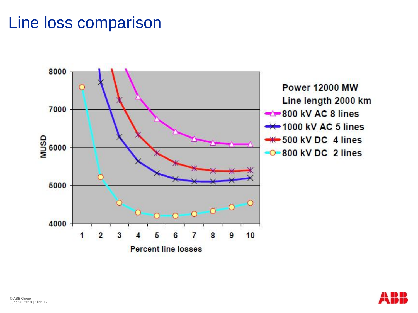#### Line loss comparison



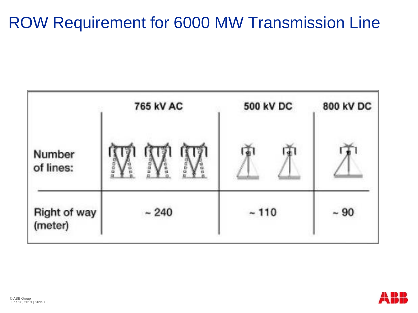#### ROW Requirement for 6000 MW Transmission Line



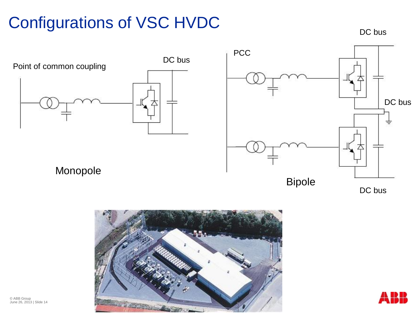## Configurations of VSC HVDC

DC bus





© ABB Group June 26, 2013 | Slide 14

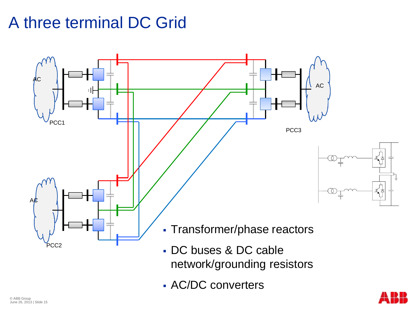#### A three terminal DC Grid



§ AC/DC converters

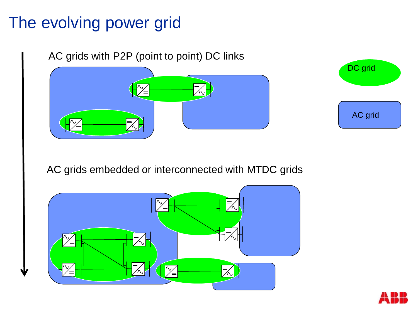#### The evolving power grid

AC grids with P2P (point to point) DC links





AC grids embedded or interconnected with MTDC grids



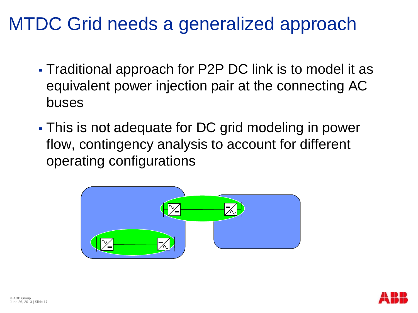## MTDC Grid needs a generalized approach

- § Traditional approach for P2P DC link is to model it as equivalent power injection pair at the connecting AC buses
- This is not adequate for DC grid modeling in power flow, contingency analysis to account for different operating configurations



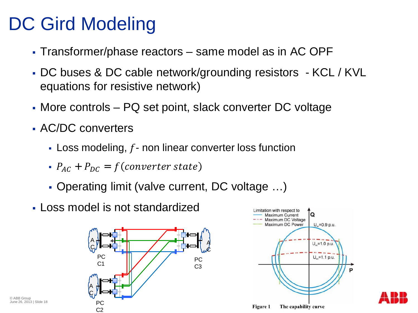## DC Gird Modeling

- § Transformer/phase reactors same model as in AC OPF
- § DC buses & DC cable network/grounding resistors KCL / KVL equations for resistive network)
- More controls PQ set point, slack converter DC voltage
- AC/DC converters
	- Loss modeling,  $f$  non linear converter loss function
	- $P_{AC}$  +  $P_{DC}$  =  $f$ (converter state)
	- Operating limit (valve current, DC voltage ...)
- § Loss model is not standardized





© ABB Group June 26, 2013 | Slide 18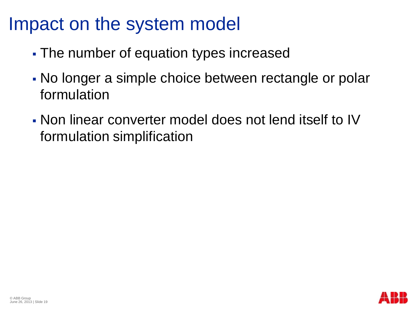## Impact on the system model

- The number of equation types increased
- § No longer a simple choice between rectangle or polar formulation
- § Non linear converter model does not lend itself to IV formulation simplification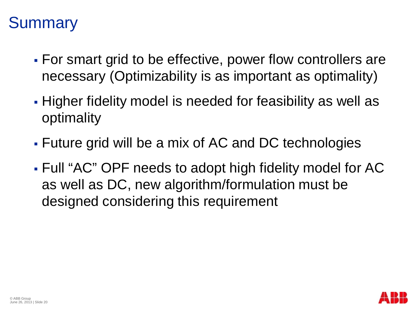#### **Summary**

- § For smart grid to be effective, power flow controllers are necessary (Optimizability is as important as optimality)
- § Higher fidelity model is needed for feasibility as well as optimality
- § Future grid will be a mix of AC and DC technologies
- § Full "AC" OPF needs to adopt high fidelity model for AC as well as DC, new algorithm/formulation must be designed considering this requirement

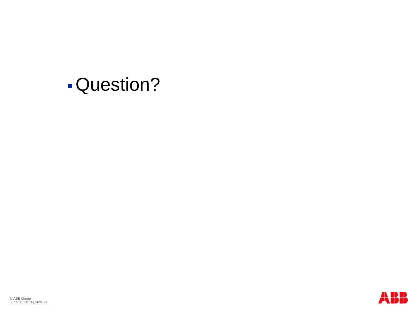## §Question?